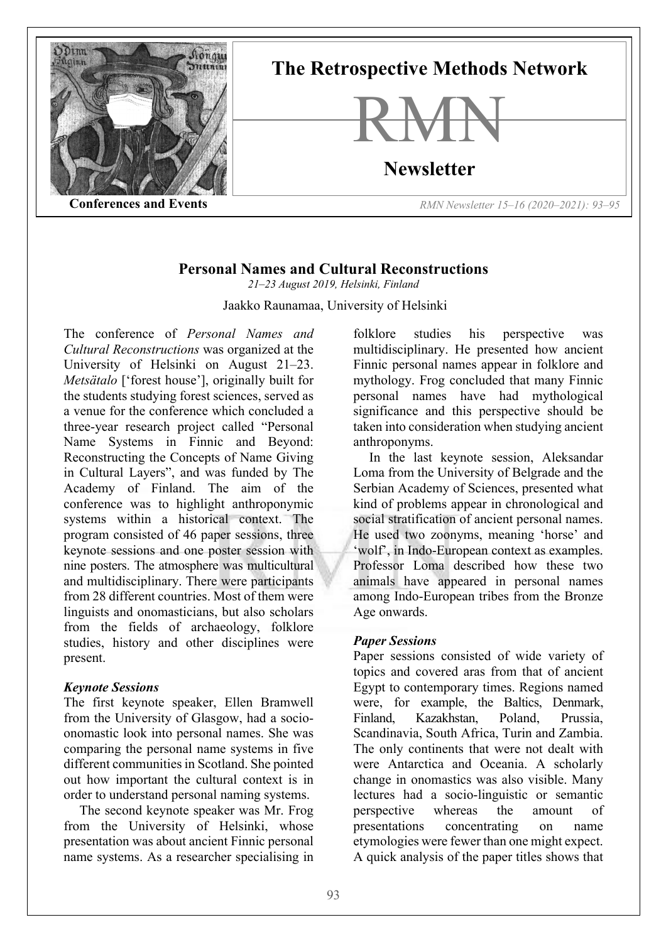

## **Personal Names and Cultural Reconstructions**

*21–23 August 2019, Helsinki, Finland*

Jaakko Raunamaa, University of Helsinki

The conference of *Personal Names and Cultural Reconstructions* was organized at the University of Helsinki on August 21–23. *Metsätalo* ['forest house'], originally built for the students studying forest sciences, served as a venue for the conference which concluded a three-year research project called "Personal Name Systems in Finnic and Beyond: Reconstructing the Concepts of Name Giving in Cultural Layers", and was funded by The Academy of Finland. The aim of the conference was to highlight anthroponymic systems within a historical context. The program consisted of 46 paper sessions, three keynote sessions and one poster session with nine posters. The atmosphere was multicultural and multidisciplinary. There were participants from 28 different countries. Most of them were linguists and onomasticians, but also scholars from the fields of archaeology, folklore studies, history and other disciplines were present.

## *Keynote Sessions*

The first keynote speaker, Ellen Bramwell from the University of Glasgow, had a socioonomastic look into personal names. She was comparing the personal name systems in five different communities in Scotland. She pointed out how important the cultural context is in order to understand personal naming systems.

The second keynote speaker was Mr. Frog from the University of Helsinki, whose presentation was about ancient Finnic personal name systems. As a researcher specialising in

folklore studies his perspective was multidisciplinary. He presented how ancient Finnic personal names appear in folklore and mythology. Frog concluded that many Finnic personal names have had mythological significance and this perspective should be taken into consideration when studying ancient anthroponyms.

In the last keynote session, Aleksandar Loma from the University of Belgrade and the Serbian Academy of Sciences, presented what kind of problems appear in chronological and social stratification of ancient personal names. He used two zoonyms, meaning 'horse' and 'wolf', in Indo-European context as examples. Professor Loma described how these two animals have appeared in personal names among Indo-European tribes from the Bronze Age onwards.

## *Paper Sessions*

Paper sessions consisted of wide variety of topics and covered aras from that of ancient Egypt to contemporary times. Regions named were, for example, the Baltics, Denmark, Finland, Kazakhstan, Poland, Prussia, Scandinavia, South Africa, Turin and Zambia. The only continents that were not dealt with were Antarctica and Oceania. A scholarly change in onomastics was also visible. Many lectures had a socio-linguistic or semantic perspective whereas the amount of presentations concentrating on name etymologies were fewer than one might expect. A quick analysis of the paper titles shows that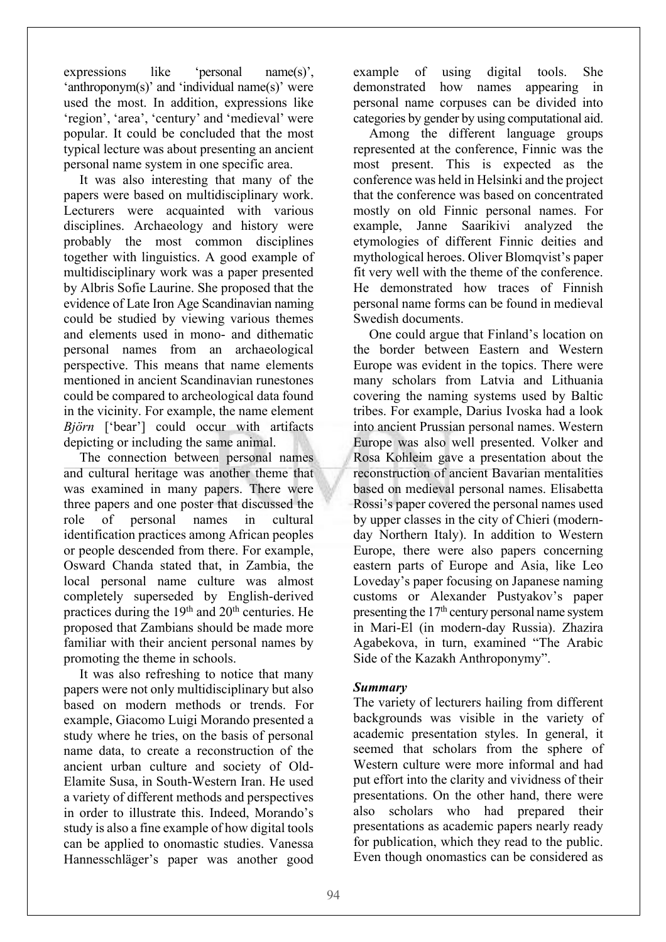expressions like 'personal name(s)', 'anthroponym(s)' and 'individual name(s)' were used the most. In addition, expressions like 'region', 'area', 'century' and 'medieval' were popular. It could be concluded that the most typical lecture was about presenting an ancient personal name system in one specific area.

It was also interesting that many of the papers were based on multidisciplinary work. Lecturers were acquainted with various disciplines. Archaeology and history were probably the most common disciplines together with linguistics. A good example of multidisciplinary work was a paper presented by Albris Sofie Laurine. She proposed that the evidence of Late Iron Age Scandinavian naming could be studied by viewing various themes and elements used in mono- and dithematic personal names from an archaeological perspective. This means that name elements mentioned in ancient Scandinavian runestones could be compared to archeological data found in the vicinity. For example, the name element *Björn* ['bear'] could occur with artifacts depicting or including the same animal.

The connection between personal names and cultural heritage was another theme that was examined in many papers. There were three papers and one poster that discussed the role of personal names in cultural identification practices among African peoples or people descended from there. For example, Osward Chanda stated that, in Zambia, the local personal name culture was almost completely superseded by English-derived practices during the  $19<sup>th</sup>$  and  $20<sup>th</sup>$  centuries. He proposed that Zambians should be made more familiar with their ancient personal names by promoting the theme in schools.

It was also refreshing to notice that many papers were not only multidisciplinary but also based on modern methods or trends. For example, Giacomo Luigi Morando presented a study where he tries, on the basis of personal name data, to create a reconstruction of the ancient urban culture and society of Old-Elamite Susa, in South-Western Iran. He used a variety of different methods and perspectives in order to illustrate this. Indeed, Morando's study is also a fine example of how digital tools can be applied to onomastic studies. Vanessa Hannesschläger's paper was another good

example of using digital tools. She demonstrated how names appearing in personal name corpuses can be divided into categories by gender by using computational aid.

Among the different language groups represented at the conference, Finnic was the most present. This is expected as the conference was held in Helsinki and the project that the conference was based on concentrated mostly on old Finnic personal names. For example, Janne Saarikivi analyzed the etymologies of different Finnic deities and mythological heroes. Oliver Blomqvist's paper fit very well with the theme of the conference. He demonstrated how traces of Finnish personal name forms can be found in medieval Swedish documents.

One could argue that Finland's location on the border between Eastern and Western Europe was evident in the topics. There were many scholars from Latvia and Lithuania covering the naming systems used by Baltic tribes. For example, Darius Ivoska had a look into ancient Prussian personal names. Western Europe was also well presented. Volker and Rosa Kohleim gave a presentation about the reconstruction of ancient Bavarian mentalities based on medieval personal names. Elisabetta Rossi's paper covered the personal names used by upper classes in the city of Chieri (modernday Northern Italy). In addition to Western Europe, there were also papers concerning eastern parts of Europe and Asia, like Leo Loveday's paper focusing on Japanese naming customs or Alexander Pustyakov's paper presenting the  $17<sup>th</sup>$  century personal name system in Mari-El (in modern-day Russia). Zhazira Agabekova, in turn, examined "The Arabic Side of the Kazakh Anthroponymy".

## *Summary*

The variety of lecturers hailing from different backgrounds was visible in the variety of academic presentation styles. In general, it seemed that scholars from the sphere of Western culture were more informal and had put effort into the clarity and vividness of their presentations. On the other hand, there were also scholars who had prepared their presentations as academic papers nearly ready for publication, which they read to the public. Even though onomastics can be considered as